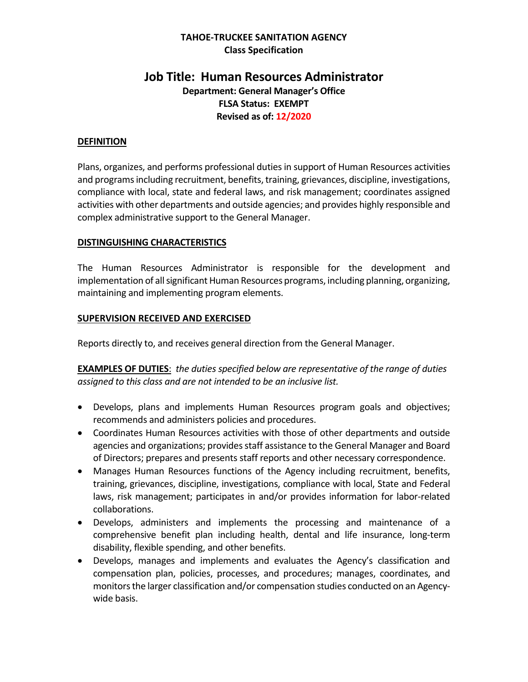#### **TAHOE-TRUCKEE SANITATION AGENCY Class Specification**

# **Job Title: Human Resources Administrator**

**Department: General Manager's Office FLSA Status: EXEMPT Revised as of: 12/2020**

#### **DEFINITION**

Plans, organizes, and performs professional duties in support of Human Resources activities and programs including recruitment, benefits, training, grievances, discipline, investigations, compliance with local, state and federal laws, and risk management; coordinates assigned activities with other departments and outside agencies; and provides highly responsible and complex administrative support to the General Manager.

#### **DISTINGUISHING CHARACTERISTICS**

The Human Resources Administrator is responsible for the development and implementation of allsignificant Human Resources programs, including planning, organizing, maintaining and implementing program elements.

#### **SUPERVISION RECEIVED AND EXERCISED**

Reports directly to, and receives general direction from the General Manager.

**EXAMPLES OF DUTIES**: *the duties specified below are representative of the range of duties assigned to this class and are not intended to be an inclusive list.* 

- Develops, plans and implements Human Resources program goals and objectives; recommends and administers policies and procedures.
- Coordinates Human Resources activities with those of other departments and outside agencies and organizations; provides staff assistance to the General Manager and Board of Directors; prepares and presents staff reports and other necessary correspondence.
- Manages Human Resources functions of the Agency including recruitment, benefits, training, grievances, discipline, investigations, compliance with local, State and Federal laws, risk management; participates in and/or provides information for labor-related collaborations.
- Develops, administers and implements the processing and maintenance of a comprehensive benefit plan including health, dental and life insurance, long-term disability, flexible spending, and other benefits.
- Develops, manages and implements and evaluates the Agency's classification and compensation plan, policies, processes, and procedures; manages, coordinates, and monitorsthe larger classification and/or compensation studies conducted on an Agencywide basis.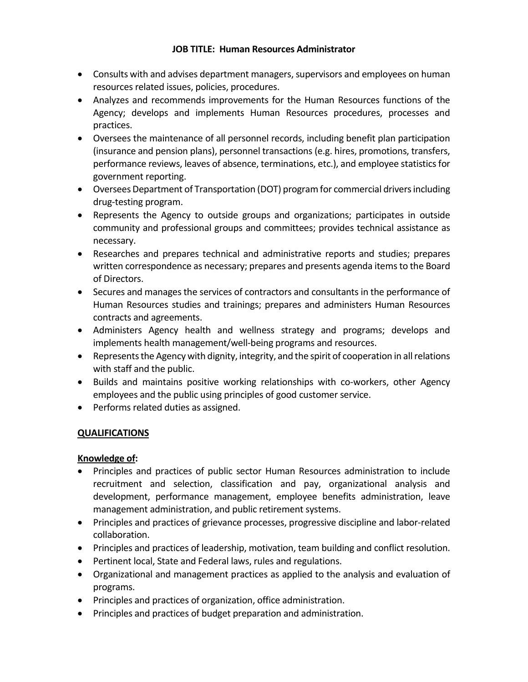#### **JOB TITLE: Human Resources Administrator**

- Consults with and advises department managers, supervisors and employees on human resources related issues, policies, procedures.
- Analyzes and recommends improvements for the Human Resources functions of the Agency; develops and implements Human Resources procedures, processes and practices.
- Oversees the maintenance of all personnel records, including benefit plan participation (insurance and pension plans), personnel transactions (e.g. hires, promotions, transfers, performance reviews, leaves of absence, terminations, etc.), and employee statistics for government reporting.
- Oversees Department of Transportation (DOT) program for commercial drivers including drug-testing program.
- Represents the Agency to outside groups and organizations; participates in outside community and professional groups and committees; provides technical assistance as necessary.
- Researches and prepares technical and administrative reports and studies; prepares written correspondence as necessary; prepares and presents agenda items to the Board of Directors.
- Secures and manages the services of contractors and consultants in the performance of Human Resources studies and trainings; prepares and administers Human Resources contracts and agreements.
- Administers Agency health and wellness strategy and programs; develops and implements health management/well-being programs and resources.
- Represents the Agency with dignity, integrity, and the spirit of cooperation in all relations with staff and the public.
- Builds and maintains positive working relationships with co-workers, other Agency employees and the public using principles of good customer service.
- Performs related duties as assigned.

## **QUALIFICATIONS**

### **Knowledge of:**

- Principles and practices of public sector Human Resources administration to include recruitment and selection, classification and pay, organizational analysis and development, performance management, employee benefits administration, leave management administration, and public retirement systems.
- Principles and practices of grievance processes, progressive discipline and labor-related collaboration.
- Principles and practices of leadership, motivation, team building and conflict resolution.
- Pertinent local, State and Federal laws, rules and regulations.
- Organizational and management practices as applied to the analysis and evaluation of programs.
- Principles and practices of organization, office administration.
- Principles and practices of budget preparation and administration.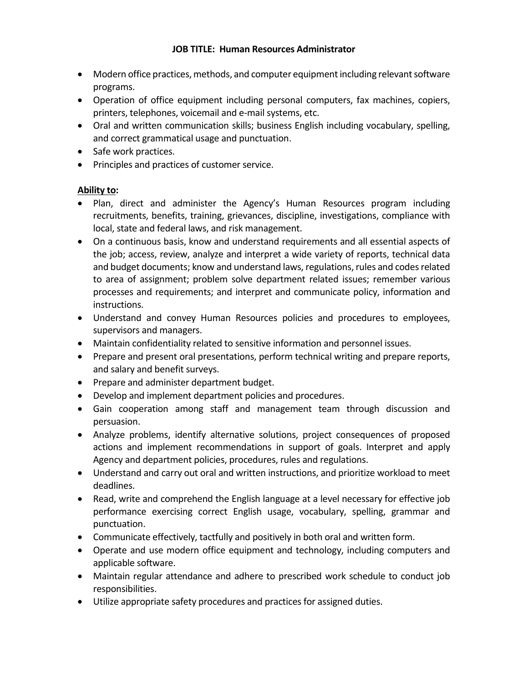#### **JOB TITLE: Human Resources Administrator**

- Modern office practices, methods, and computer equipment including relevant software programs.
- Operation of office equipment including personal computers, fax machines, copiers, printers, telephones, voicemail and e-mail systems, etc.
- Oral and written communication skills; business English including vocabulary, spelling, and correct grammatical usage and punctuation.
- Safe work practices.
- Principles and practices of customer service.

### **Ability to:**

- Plan, direct and administer the Agency's Human Resources program including recruitments, benefits, training, grievances, discipline, investigations, compliance with local, state and federal laws, and risk management.
- On a continuous basis, know and understand requirements and all essential aspects of the job; access, review, analyze and interpret a wide variety of reports, technical data and budget documents; know and understand laws, regulations, rules and codes related to area of assignment; problem solve department related issues; remember various processes and requirements; and interpret and communicate policy, information and instructions.
- Understand and convey Human Resources policies and procedures to employees, supervisors and managers.
- Maintain confidentiality related to sensitive information and personnel issues.
- Prepare and present oral presentations, perform technical writing and prepare reports, and salary and benefit surveys.
- Prepare and administer department budget.
- Develop and implement department policies and procedures.
- Gain cooperation among staff and management team through discussion and persuasion.
- Analyze problems, identify alternative solutions, project consequences of proposed actions and implement recommendations in support of goals. Interpret and apply Agency and department policies, procedures, rules and regulations.
- Understand and carry out oral and written instructions, and prioritize workload to meet deadlines.
- Read, write and comprehend the English language at a level necessary for effective job performance exercising correct English usage, vocabulary, spelling, grammar and punctuation.
- Communicate effectively, tactfully and positively in both oral and written form.
- Operate and use modern office equipment and technology, including computers and applicable software.
- Maintain regular attendance and adhere to prescribed work schedule to conduct job responsibilities.
- Utilize appropriate safety procedures and practices for assigned duties.